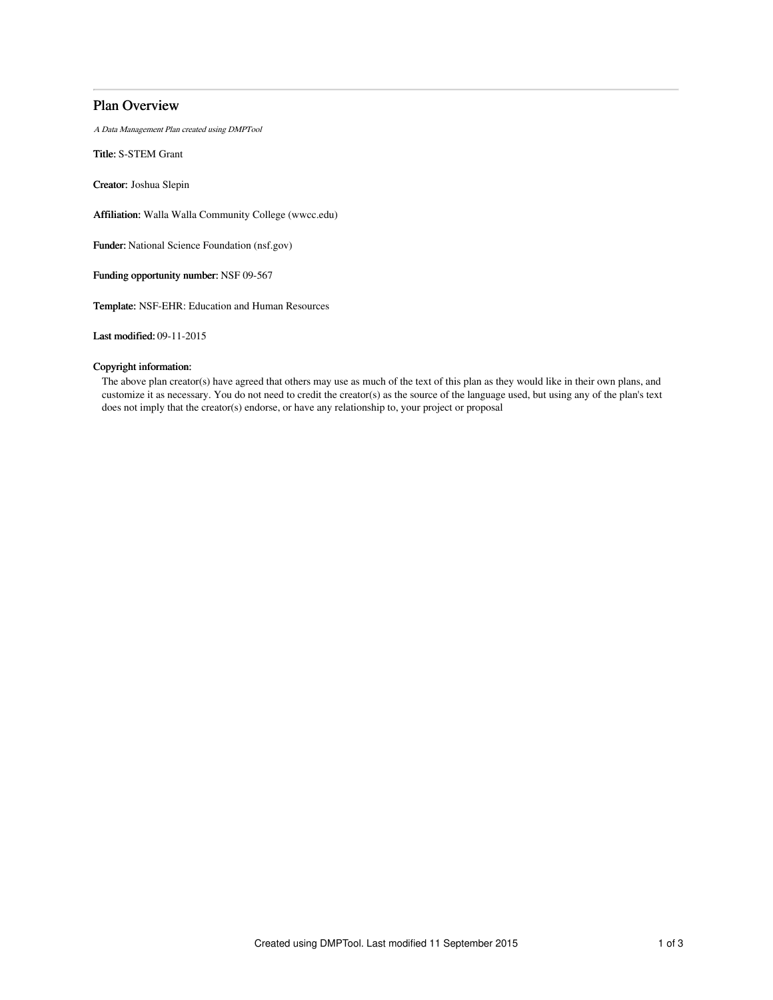# Plan Overview

A Data Management Plan created using DMPTool

Title: S-STEM Grant

Creator: Joshua Slepin

Affiliation: Walla Walla Community College (wwcc.edu)

Funder: National Science Foundation (nsf.gov)

Funding opportunity number: NSF 09-567

Template: NSF-EHR: Education and Human Resources

Last modified: 09-11-2015

## Copyright information:

The above plan creator(s) have agreed that others may use as much of the text of this plan as they would like in their own plans, and customize it as necessary. You do not need to credit the creator(s) as the source of the language used, but using any of the plan's text does not imply that the creator(s) endorse, or have any relationship to, your project or proposal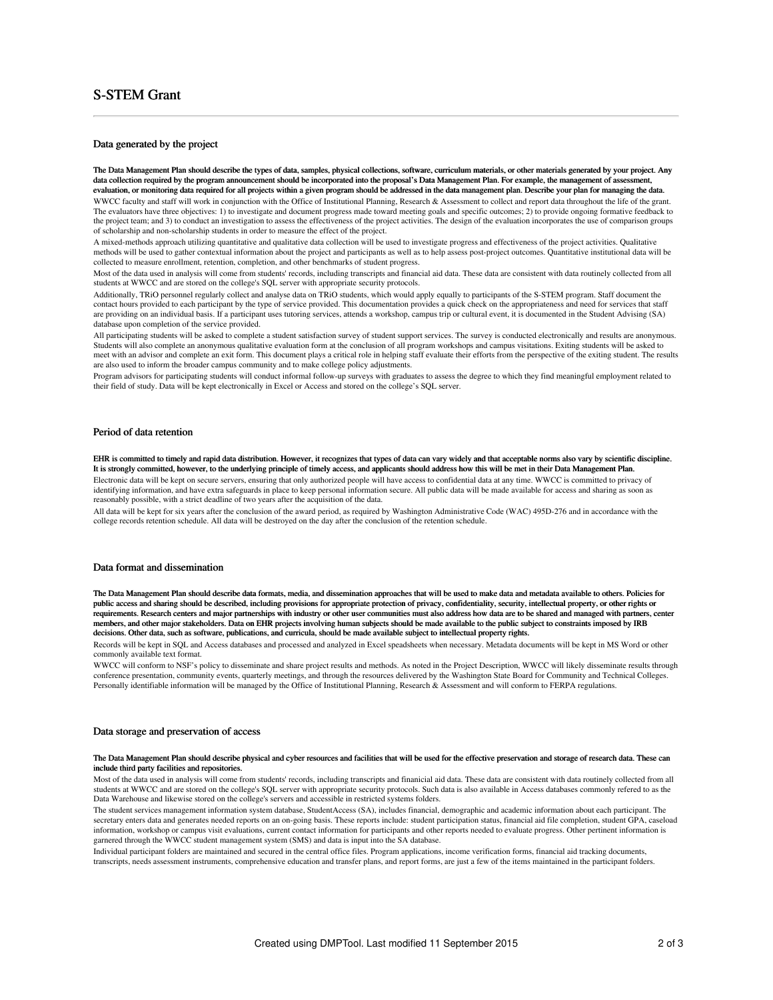# S-STEM Grant

#### Data generated by the project

The Data Management Plan should describe the types of data, samples, physical collections, software, curriculum materials, or other materials generated by your project. Any data collection required by the program announcement should be incorporated into the proposal's Data Management Plan. For example, the management of assessment, evaluation, or monitoring data required for all projects within a given program should be addressed in the data management plan. Describe your plan for managing the data. WWCC faculty and staff will work in conjunction with the Office of Institutional Planning, Research & Assessment to collect and report data throughout the life of the grant. The evaluators have three objectives: 1) to investigate and document progress made toward meeting goals and specific outcomes; 2) to provide ongoing formative feedback to the project team; and 3) to conduct an investigation to assess the effectiveness of the project activities. The design of the evaluation incorporates the use of comparison groups

of scholarship and non-scholarship students in order to measure the effect of the project. A mixed-methods approach utilizing quantitative and qualitative data collection will be used to investigate progress and effectiveness of the project activities. Qualitative methods will be used to gather contextual information about the project and participants as well as to help assess post-project outcomes. Quantitative institutional data will be collected to measure enrollment, retention, completion, and other benchmarks of student progress.

Most of the data used in analysis will come from students' records, including transcripts and financial aid data. These data are consistent with data routinely collected from all students at WWCC and are stored on the college's SQL server with appropriate security protocols.

Additionally, TRiO personnel regularly collect and analyse data on TRiO students, which would apply equally to participants of the S-STEM program. Staff document the contact hours provided to each participant by the type of service provided. This documentation provides a quick check on the appropriateness and need for services that staff are providing on an individual basis. If a participant uses tutoring services, attends a workshop, campus trip or cultural event, it is documented in the Student Advising (SA) database upon completion of the service provided.

All participating students will be asked to complete a student satisfaction survey of student support services. The survey is conducted electronically and results are anonymous. Students will also complete an anonymous qualitative evaluation form at the conclusion of all program workshops and campus visitations. Exiting students will be asked to meet with an advisor and complete an exit form. This document plays a critical role in helping staff evaluate their efforts from the perspective of the exiting student. The results are also used to inform the broader campus community and to make college policy adjustments.

Program advisors for participating students will conduct informal follow-up surveys with graduates to assess the degree to which they find meaningful employment related to their field of study. Data will be kept electronically in Excel or Access and stored on the college's SQL server.

### Period of data retention

EHR is committed to timely and rapid data distribution. However, it recognizes that types of data can vary widely and that acceptable norms also vary by scientific discipline.<br>It is strongly committed, however, to the unde It is strongly committed, however, to the underlying principle of timely access, and applicants should address how this will be met in their Data Manag Electronic data will be kept on secure servers, ensuring that only authorized people will have access to confidential data at any time. WWCC is committed to privacy of identifying information, and have extra safeguards in place to keep personal information secure. All public data will be made available for access and sharing as soon as reasonably possible, with a strict deadline of two years after the acquisition of the data.

All data will be kept for six years after the conclusion of the award period, as required by Washington Administrative Code (WAC) 495D-276 and in accordance with the college records retention schedule. All data will be destroyed on the day after the conclusion of the retention schedule.

### Data format and dissemination

The Data Management Plan should describe data formats, media, and dissemination approaches that will be used to make data and metadata available to others. Policies for public access and sharing should be described, including provisions for appropriate protection of privacy, confidentiality, security, intellectual property, or other rights or requirements. Research centers and major partnerships with industry or other user communities must also address how data are to be shared and managed with partners, center members, and other major stakeholders. Data on EHR projects involving human subjects should be made available to the public subject to constraints imposed by IRB decisions. Other data, such as software, publications, and curricula, should be made available subject to intellectual property rights.

Records will be kept in SQL and Access databases and processed and analyzed in Excel speadsheets when necessary. Metadata documents will be kept in MS Word or other commonly available text format.

WWCC will conform to NSF's policy to disseminate and share project results and methods. As noted in the Project Description, WWCC will likely disseminate results through conference presentation, community events, quarterly meetings, and through the resources delivered by the Washington State Board for Community and Technical Colleges. Personally identifiable information will be managed by the Office of Institutional Planning, Research & Assessment and will conform to FERPA regulations.

## Data storage and preservation of access

#### The Data Management Plan should describe physical and cyber resources and facilities that will be used for the effective preservation and storage of research data. These can include third party facilities and repositories.

Most of the data used in analysis will come from students' records, including transcripts and finanicial aid data. These data are consistent with data routinely collected from all students at WWCC and are stored on the college's SQL server with appropriate security protocols. Such data is also available in Access databases commonly refered to as the Data Warehouse and likewise stored on the college's servers and accessible in restricted systems folders.

The student services management information system database, StudentAccess (SA), includes financial, demographic and academic information about each participant. The secretary enters data and generates needed reports on an on-going basis. These reports include: student participation status, financial aid file completion, student GPA, caseload information, workshop or campus visit evaluations, current contact information for participants and other reports needed to evaluate progress. Other pertinent information is garnered through the WWCC student management system (SMS) and data is input into the SA database.

Individual participant folders are maintained and secured in the central office files. Program applications, income verification forms, financial aid tracking documents, transcripts, needs assessment instruments, comprehensive education and transfer plans, and report forms, are just a few of the items maintained in the participant folders.